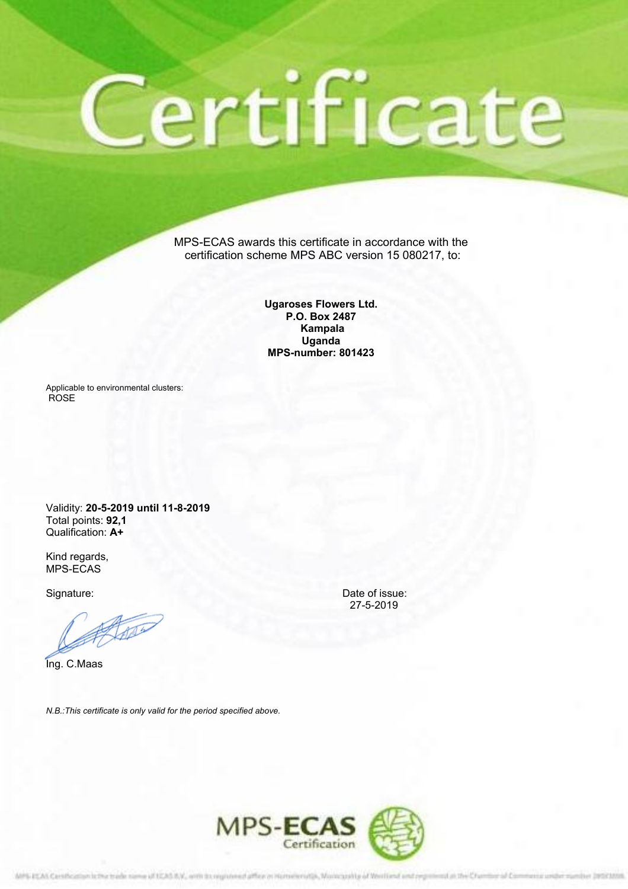# Certificate

MPS-ECAS awards this certificate in accordance with the certification scheme MPS ABC version 15 080217, to:

> **Ugaroses Flowers Ltd. P.O. Box 2487 Kampala Uganda MPS-number: 801423**

Applicable to environmental clusters: **ROSE** 

Validity: **20-5-2019 until 11-8-2019** Total points: **92,1** Qualification: **A+**

Kind regards, MPS-ECAS

Ing. C.Maas

Signature: Date of issue: 27-5-2019

*N.B.:This certificate is only valid for the period specified above.*

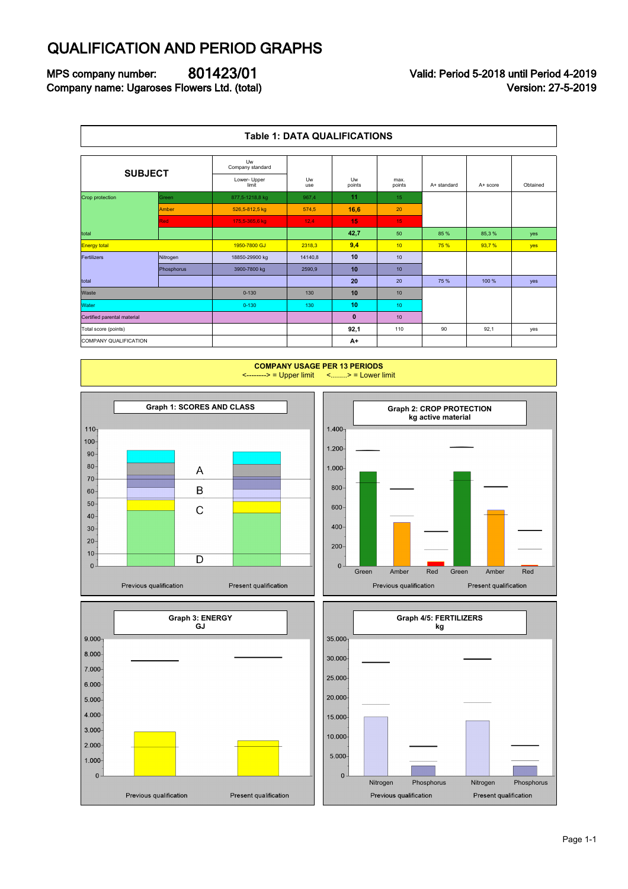# QUALIFICATION AND PERIOD GRAPHS

#### MPS company number:  $801423/01$  Valid: Period 5-2018 until Period 4-2019 801423/01 Company name: Ugaroses Flowers Ltd. (total)

r

# Version: 27-5-2019

|                             |            |                        |           | <b>Table 1: DATA QUALIFICATIONS</b> |                |             |          |          |
|-----------------------------|------------|------------------------|-----------|-------------------------------------|----------------|-------------|----------|----------|
|                             |            | Uw<br>Company standard |           |                                     |                |             |          |          |
| <b>SUBJECT</b>              |            | Lower- Upper<br>limit  | Uw<br>use | Uw<br>points                        | max.<br>points | A+ standard | A+ score | Obtained |
| Crop protection             | Green      | 877,5-1218,8 kg        | 967.4     | 11                                  | 15             |             |          |          |
|                             | Amber      | 526,5-812,5 kg         | 574,5     | 16,6                                | 20             |             |          |          |
|                             | <b>Red</b> | 175,5-365,6 kg         | 12.4      | 15                                  | 15             |             |          |          |
| total                       |            |                        |           | 42,7                                | 50             | 85 %        | 85,3%    | yes      |
| <b>Energy total</b>         |            | 1950-7800 GJ           | 2318,3    | 9,4                                 | 10             | 75 %        | 93,7%    | yes      |
| Fertilizers                 | Nitrogen   | 18850-29900 kg         | 14140,8   | 10                                  | 10             |             |          |          |
|                             | Phosphorus | 3900-7800 kg           | 2590,9    | 10                                  | 10             |             |          |          |
| total                       |            |                        |           | 20                                  | 20             | 75 %        | 100 %    | yes      |
| Waste                       |            | $0 - 130$              | 130       | 10                                  | 10             |             |          |          |
| Water                       |            | $0 - 130$              | 130       | 10                                  | 10             |             |          |          |
| Certified parental material |            |                        |           | $\bf{0}$                            | 10             |             |          |          |
| Total score (points)        |            |                        |           | 92,1                                | 110            | 90          | 92,1     | yes      |
| COMPANY QUALIFICATION       |            |                        |           | A+                                  |                |             |          |          |

#### **COMPANY USAGE PER 13 PERIODS** <--------> = Upper limit <........> = Lower limit







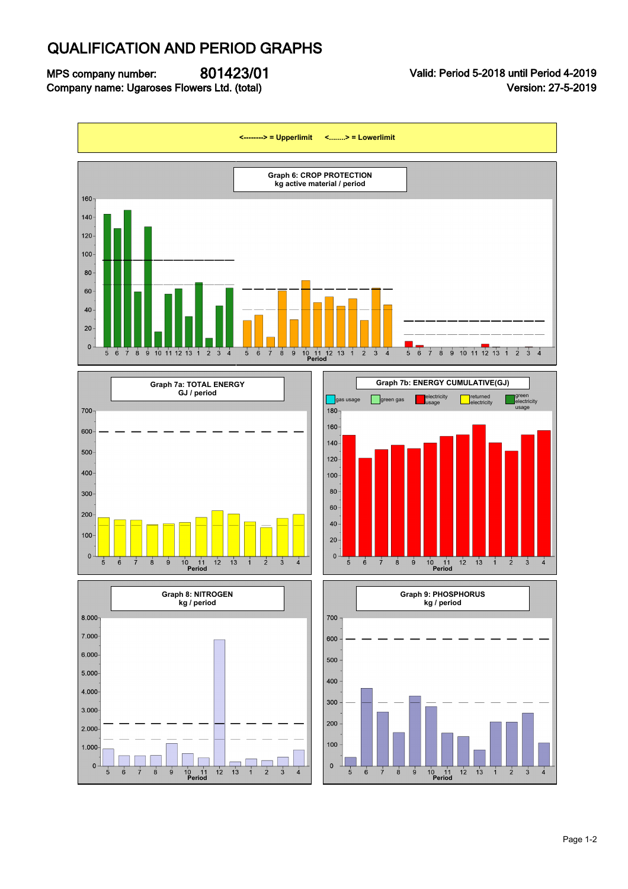# QUALIFICATION AND PERIOD GRAPHS

MPS company number: 801423/01 Valid: Period 5-2018 until Period 4-2019 801423/01 Company name: Ugaroses Flowers Ltd. (total)

Version: 27-5-2019

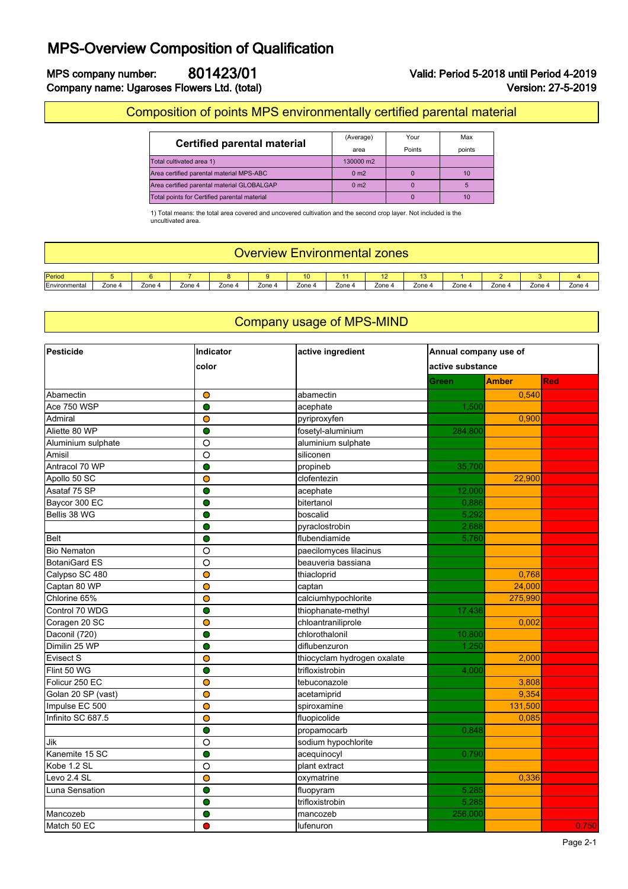# MPS-Overview Composition of Qualification

#### MPS company number:  $801423/01$  Valid: Period 5-2018 until Period 4-2019 801423/01

### Company name: Ugaroses Flowers Ltd. (total)

# Version: 27-5-2019

## Composition of points MPS environmentally certified parental material

|                                              | (Average)       | Your   | Max    |
|----------------------------------------------|-----------------|--------|--------|
| <b>Certified parental material</b>           | area            | Points | points |
| Total cultivated area 1)                     | 130000 m2       |        |        |
| Area certified parental material MPS-ABC     | 0 <sub>m2</sub> |        | 10     |
| Area certified parental material GLOBALGAP   | 0 <sub>m2</sub> |        |        |
| Total points for Certified parental material |                 |        | 10     |

1) Total means: the total area covered and uncovered cultivation and the second crop layer. Not included is the uncultivated area.

|               | Dverview Environmental zones⊥ |        |        |        |        |                 |        |        |        |        |        |        |        |
|---------------|-------------------------------|--------|--------|--------|--------|-----------------|--------|--------|--------|--------|--------|--------|--------|
|               |                               |        |        |        |        |                 |        |        |        |        |        |        |        |
| Period        |                               |        |        |        |        | 10 <sup>1</sup> |        | 12     | 13.    |        | -      |        |        |
| Environmental | Zone 4                        | Zone 4 | Zone 4 | Zone 4 | Zone 4 | Zone 4          | Zone 4 | Zone 4 | Zone 4 | Zone 4 | Zone 4 | Zone 4 | Zone 4 |

#### Company usage of MPS-MIND

| Pesticide            | Indicator            | active ingredient           | Annual company use of |              |            |
|----------------------|----------------------|-----------------------------|-----------------------|--------------|------------|
|                      | color                |                             | active substance      |              |            |
|                      |                      |                             | Green                 | <b>Amber</b> | <b>Red</b> |
| Abamectin            | $\bullet$            | abamectin                   |                       | 0,540        |            |
| Ace 750 WSP          | $\bullet$            | acephate                    | 1,500                 |              |            |
| Admiral              | $\bullet$            | pyriproxyfen                |                       | 0,900        |            |
| Aliette 80 WP        | $\bullet$            | fosetyl-aluminium           | 284,800               |              |            |
| Aluminium sulphate   | $\circ$              | aluminium sulphate          |                       |              |            |
| Amisil               | $\overline{\circ}$   | siliconen                   |                       |              |            |
| Antracol 70 WP       | $\bullet$            | propineb                    | 35,700                |              |            |
| Apollo 50 SC         | $\bullet$            | clofentezin                 |                       | 22,900       |            |
| Asataf 75 SP         | $\bullet$            | acephate                    | 12,000                |              |            |
| Baycor 300 EC        | Ο                    | bitertanol                  | 0,886                 |              |            |
| Bellis 38 WG         | Ο                    | boscalid                    | 5,292                 |              |            |
|                      | $\bullet$            | pyraclostrobin              | 2,688                 |              |            |
| Belt                 | $\bullet$            | flubendiamide               | 5,760                 |              |            |
| <b>Bio Nematon</b>   | $\circ$              | paecilomyces lilacinus      |                       |              |            |
| <b>BotaniGard ES</b> | $\circ$              | beauveria bassiana          |                       |              |            |
| Calypso SC 480       | $\bullet$            | thiacloprid                 |                       | 0,768        |            |
| Captan 80 WP         | $\bullet$            | captan                      |                       | 24,000       |            |
| Chlorine 65%         | $\overline{\bullet}$ | calciumhypochlorite         |                       | 275,990      |            |
| Control 70 WDG       | $\bullet$            | thiophanate-methyl          | 17,436                |              |            |
| Coragen 20 SC        | $\bullet$            | chloantraniliprole          |                       | 0,002        |            |
| Daconil (720)        | Ο                    | chlorothalonil              | 10,800                |              |            |
| Dimilin 25 WP        | Ο                    | diflubenzuron               | 1,250                 |              |            |
| Evisect S            | $\bullet$            | thiocyclam hydrogen oxalate |                       | 2,000        |            |
| Flint 50 WG          | $\bullet$            | trifloxistrobin             | 4,000                 |              |            |
| Folicur 250 EC       | $\bullet$            | tebuconazole                |                       | 3,808        |            |
| Golan 20 SP (vast)   | $\bullet$            | acetamiprid                 |                       | 9,354        |            |
| Impulse EC 500       | $\bullet$            | spiroxamine                 |                       | 131,500      |            |
| Infinito SC 687.5    | $\bullet$            | fluopicolide                |                       | 0,085        |            |
|                      | $\bullet$            | propamocarb                 | 0,848                 |              |            |
| Jik                  | $\circ$              | sodium hypochlorite         |                       |              |            |
| Kanemite 15 SC       | $\bullet$            | acequinocyl                 | 0,790                 |              |            |
| Kobe 1.2 SL          | $\circ$              | plant extract               |                       |              |            |
| Levo 2.4 SL          | $\bullet$            | oxymatrine                  |                       | 0,336        |            |
| Luna Sensation       | Ο                    | fluopyram                   | 5,285                 |              |            |
|                      | $\bullet$            | trifloxistrobin             | 5,285                 |              |            |
| Mancozeb             | $\bullet$            | mancozeb                    | 256,000               |              |            |
| Match 50 EC          | $\bullet$            | lufenuron                   |                       |              | 0,750      |
|                      |                      |                             |                       |              |            |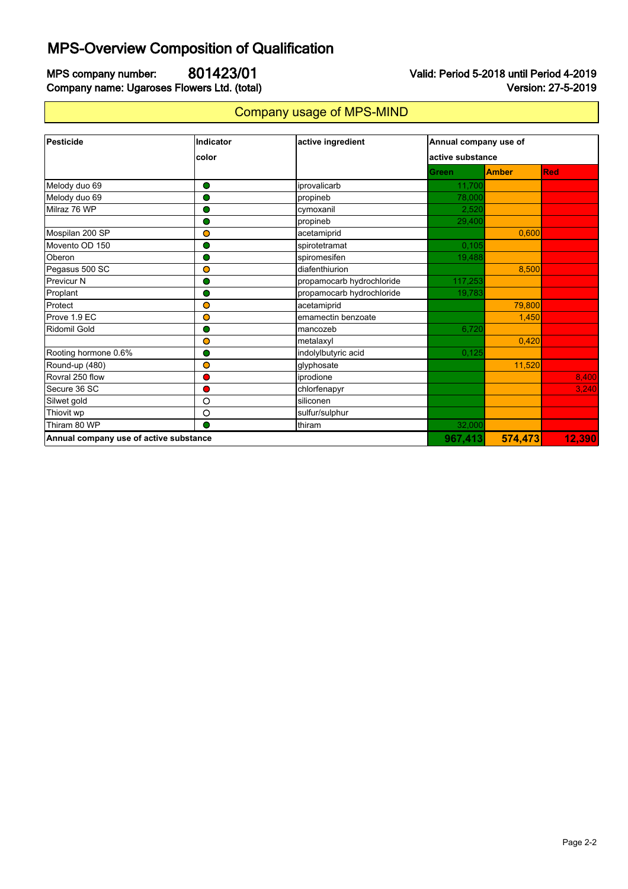# MPS-Overview Composition of Qualification

MPS company number:  $801423/01$  Valid: Period 5-2018 until Period 4-2019 801423/01 Company name: Ugaroses Flowers Ltd. (total)

# Version: 27-5-2019

## Company usage of MPS-MIND

| Pesticide                              | <b>Indicator</b> | active ingredient         | Annual company use of |              |        |
|----------------------------------------|------------------|---------------------------|-----------------------|--------------|--------|
|                                        | color            |                           | active substance      |              |        |
|                                        |                  |                           | <b>Green</b>          | <b>Amber</b> | Red    |
| Melody duo 69                          | Ο                | iprovalicarb              | 11.700                |              |        |
| Melody duo 69                          | ❶                | propineb                  | 78,000                |              |        |
| Milraz 76 WP                           | ●                | cymoxanil                 | 2.520                 |              |        |
|                                        | O                | propineb                  | 29.400                |              |        |
| Mospilan 200 SP                        | $\bullet$        | acetamiprid               |                       | 0.600        |        |
| Movento OD 150                         | ∍                | spirotetramat             | 0.105                 |              |        |
| Oberon                                 | ●                | spiromesifen              | 19,488                |              |        |
| Pegasus 500 SC                         | Ο                | diafenthiurion            |                       | 8,500        |        |
| <b>Previcur N</b>                      | ∩                | propamocarb hydrochloride | 117,253               |              |        |
| Proplant                               | ●                | propamocarb hydrochloride | 19.783                |              |        |
| Protect                                | $\bullet$        | acetamiprid               |                       | 79,800       |        |
| Prove 1.9 EC                           | $\bullet$        | emamectin benzoate        |                       | 1,450        |        |
| Ridomil Gold                           | ●                | Imancozeb                 | 6.720                 |              |        |
|                                        | $\bullet$        | metalaxyl                 |                       | 0,420        |        |
| Rooting hormone 0.6%                   | D                | indolylbutyric acid       | 0,125                 |              |        |
| Round-up (480)                         | $\bullet$        | glyphosate                |                       | 11,520       |        |
| Rovral 250 flow                        | 0                | iprodione                 |                       |              | 8,400  |
| Secure 36 SC                           | Ο                | chlorfenapyr              |                       |              | 3,240  |
| Silwet gold                            | $\circ$          | siliconen                 |                       |              |        |
| Thiovit wp                             | $\circ$          | sulfur/sulphur            |                       |              |        |
| Thiram 80 WP                           | ●                | thiram                    | 32,000                |              |        |
| Annual company use of active substance |                  |                           | 967,413               | 574,473      | 12,390 |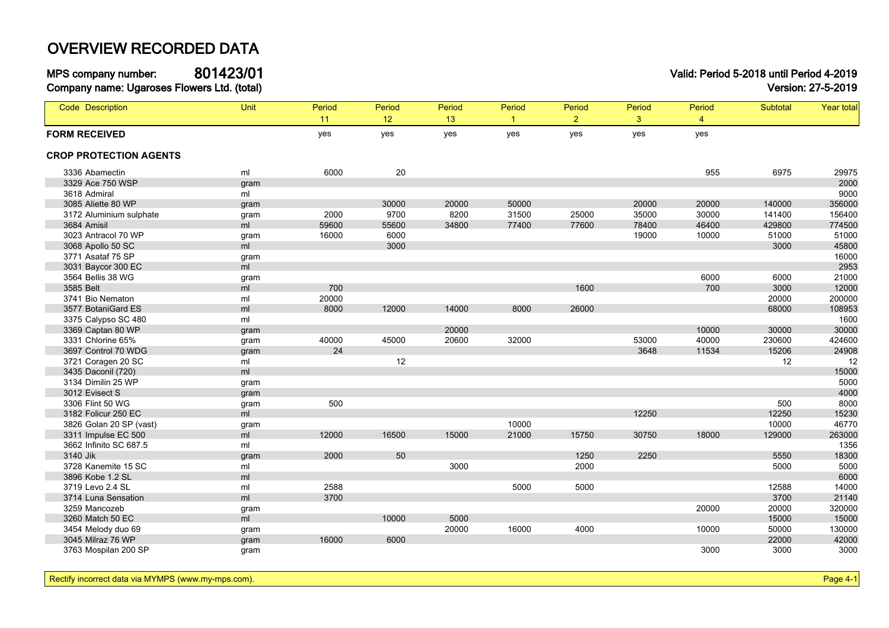# OVERVIEW RECORDED DATA

801423/01

| MPS company number:<br>Company name: Ugaroses Flowers Ltd. (total) | 801423/01 |        |        |        |              |                |              | Valid: Period 5-2018 until Period 4-2019 |          | Version: 27-5-2019 |
|--------------------------------------------------------------------|-----------|--------|--------|--------|--------------|----------------|--------------|------------------------------------------|----------|--------------------|
| Code Description                                                   | Unit      | Period | Period | Period | Period       | Period         | Period       | Period                                   | Subtotal | <b>Year total</b>  |
|                                                                    |           | 11     | 12     | 13     | $\mathbf{1}$ | $\overline{2}$ | $\mathbf{3}$ | 4                                        |          |                    |
| <b>FORM RECEIVED</b>                                               |           | yes    | yes    | yes    | yes          | yes            | yes          | yes                                      |          |                    |
| <b>CROP PROTECTION AGENTS</b>                                      |           |        |        |        |              |                |              |                                          |          |                    |
| 3336 Abamectin                                                     | ml        | 6000   | 20     |        |              |                |              | 955                                      | 6975     | 29975              |
| 3329 Ace 750 WSP                                                   | gram      |        |        |        |              |                |              |                                          |          | 2000               |
| 3618 Admiral                                                       | ml        |        |        |        |              |                |              |                                          |          | 9000               |
| 3085 Aliette 80 WP                                                 | gram      |        | 30000  | 20000  | 50000        |                | 20000        | 20000                                    | 140000   | 356000             |
| 3172 Aluminium sulphate                                            | gram      | 2000   | 9700   | 8200   | 31500        | 25000          | 35000        | 30000                                    | 141400   | 156400             |
| 3684 Amisil                                                        | ml        | 59600  | 55600  | 34800  | 77400        | 77600          | 78400        | 46400                                    | 429800   | 774500             |
| 3023 Antracol 70 WP                                                | gram      | 16000  | 6000   |        |              |                | 19000        | 10000                                    | 51000    | 51000              |
| 3068 Apollo 50 SC                                                  | ml        |        | 3000   |        |              |                |              |                                          | 3000     | 45800              |
| 3771 Asataf 75 SP                                                  | gram      |        |        |        |              |                |              |                                          |          | 16000              |
| 3031 Baycor 300 EC                                                 | ml        |        |        |        |              |                |              |                                          |          | 2953               |
| 3564 Bellis 38 WG                                                  | gram      |        |        |        |              |                |              | 6000                                     | 6000     | 21000              |
| 3585 Belt                                                          | ml        | 700    |        |        |              | 1600           |              | 700                                      | 3000     | 12000              |
| 3741 Bio Nematon                                                   | ml        | 20000  |        |        |              |                |              |                                          | 20000    | 200000             |
| 3577 BotaniGard ES                                                 | ml        | 8000   | 12000  | 14000  | 8000         | 26000          |              |                                          | 68000    | 108953             |
| 3375 Calypso SC 480                                                | ml        |        |        |        |              |                |              |                                          |          | 1600               |
| 3369 Captan 80 WP                                                  | gram      |        |        | 20000  |              |                |              | 10000                                    | 30000    | 30000              |
| 3331 Chlorine 65%                                                  | gram      | 40000  | 45000  | 20600  | 32000        |                | 53000        | 40000                                    | 230600   | 424600             |
| 3697 Control 70 WDG                                                | gram      | 24     |        |        |              |                | 3648         | 11534                                    | 15206    | 24908              |
| 3721 Coragen 20 SC                                                 | ml        |        | 12     |        |              |                |              |                                          | 12       | 12                 |
| 3435 Daconil (720)                                                 | ml        |        |        |        |              |                |              |                                          |          | 15000              |
| 3134 Dimilin 25 WP                                                 | gram      |        |        |        |              |                |              |                                          |          | 5000               |
| 3012 Evisect S                                                     | gram      |        |        |        |              |                |              |                                          |          | 4000               |
| 3306 Flint 50 WG                                                   | gram      | 500    |        |        |              |                |              |                                          | 500      | 8000               |
| 3182 Folicur 250 EC                                                | ml        |        |        |        |              |                | 12250        |                                          | 12250    | 15230              |
| 3826 Golan 20 SP (vast)                                            | gram      |        |        |        | 10000        |                |              |                                          | 10000    | 46770              |
| 3311 Impulse EC 500                                                | ml        | 12000  | 16500  | 15000  | 21000        | 15750          | 30750        | 18000                                    | 129000   | 263000             |
| 3662 Infinito SC 687.5                                             | ml        |        |        |        |              |                |              |                                          |          | 1356               |
| 3140 Jik                                                           | gram      | 2000   | 50     |        |              | 1250           | 2250         |                                          | 5550     | 18300              |
| 3728 Kanemite 15 SC                                                | ml        |        |        | 3000   |              | 2000           |              |                                          | 5000     | 5000               |
| 3896 Kobe 1.2 SL                                                   | ml        |        |        |        |              |                |              |                                          |          | 6000               |
| 3719 Levo 2.4 SL                                                   | ml        | 2588   |        |        | 5000         | 5000           |              |                                          | 12588    | 14000              |
| 3714 Luna Sensation                                                | ml        | 3700   |        |        |              |                |              |                                          | 3700     | 21140              |
| 3259 Mancozeb                                                      | gram      |        |        |        |              |                |              | 20000                                    | 20000    | 320000             |
| 3260 Match 50 EC                                                   | ml        |        | 10000  | 5000   |              |                |              |                                          | 15000    | 15000              |
| 3454 Melody duo 69                                                 | gram      |        |        | 20000  | 16000        | 4000           |              | 10000                                    | 50000    | 130000             |
| 3045 Milraz 76 WP                                                  | gram      | 16000  | 6000   |        |              |                |              |                                          | 22000    | 42000              |
| 3763 Mospilan 200 SP                                               | qram      |        |        |        |              |                |              | 3000                                     | 3000     | 3000               |

# Valid: Period 5-2018 until Period 4-2019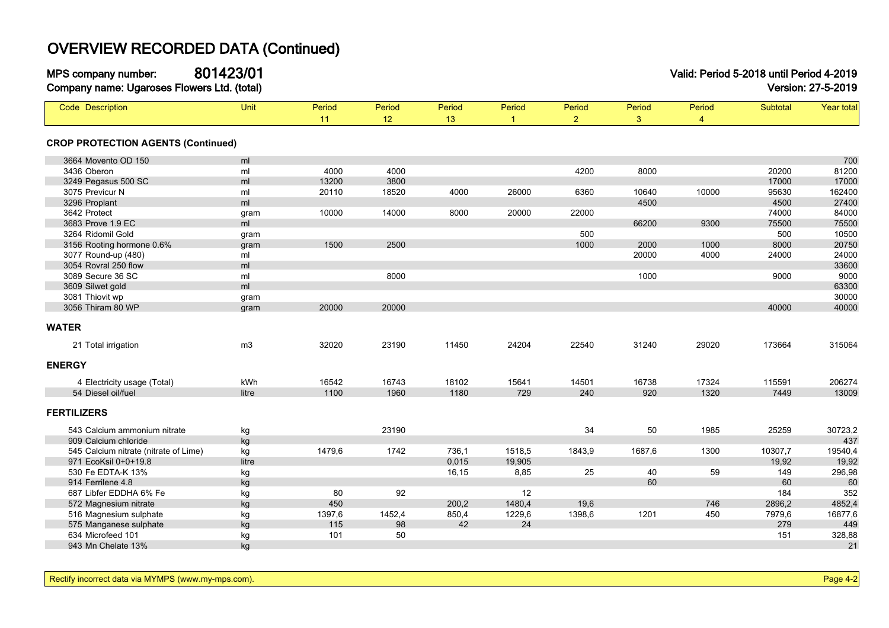#### MPS company number: Company name: Ugaroses Flowers Ltd. (total) 801423/01

| Code Description                          | Unit  | Period | Period | Period | Period       | Period         | Period | Period         | Subtotal | Year total |
|-------------------------------------------|-------|--------|--------|--------|--------------|----------------|--------|----------------|----------|------------|
|                                           |       | 11     | 12     | 13     | $\mathbf{1}$ | 2 <sup>2</sup> | 3      | $\overline{4}$ |          |            |
| <b>CROP PROTECTION AGENTS (Continued)</b> |       |        |        |        |              |                |        |                |          |            |
| 3664 Movento OD 150                       | ml    |        |        |        |              |                |        |                |          | 700        |
| 3436 Oberon                               | ml    | 4000   | 4000   |        |              | 4200           | 8000   |                | 20200    | 81200      |
| 3249 Pegasus 500 SC                       | ml    | 13200  | 3800   |        |              |                |        |                | 17000    | 17000      |
| 3075 Previcur N                           | ml    | 20110  | 18520  | 4000   | 26000        | 6360           | 10640  | 10000          | 95630    | 162400     |
| 3296 Proplant                             | ml    |        |        |        |              |                | 4500   |                | 4500     | 27400      |
| 3642 Protect                              | gram  | 10000  | 14000  | 8000   | 20000        | 22000          |        |                | 74000    | 84000      |
| 3683 Prove 1.9 EC                         | ml    |        |        |        |              |                | 66200  | 9300           | 75500    | 75500      |
| 3264 Ridomil Gold                         | gram  |        |        |        |              | 500            |        |                | 500      | 10500      |
| 3156 Rooting hormone 0.6%                 | gram  | 1500   | 2500   |        |              | 1000           | 2000   | 1000           | 8000     | 20750      |
| 3077 Round-up (480)                       | ml    |        |        |        |              |                | 20000  | 4000           | 24000    | 24000      |
| 3054 Rovral 250 flow                      | ml    |        |        |        |              |                |        |                |          | 33600      |
| 3089 Secure 36 SC                         | ml    |        | 8000   |        |              |                | 1000   |                | 9000     | 9000       |
| 3609 Silwet gold                          | ml    |        |        |        |              |                |        |                |          | 63300      |
| 3081 Thiovit wp                           | gram  |        |        |        |              |                |        |                |          | 30000      |
| 3056 Thiram 80 WP                         | gram  | 20000  | 20000  |        |              |                |        |                | 40000    | 40000      |
|                                           |       |        |        |        |              |                |        |                |          |            |
| <b>WATER</b>                              |       |        |        |        |              |                |        |                |          |            |
| 21 Total irrigation                       | m3    | 32020  | 23190  | 11450  | 24204        | 22540          | 31240  | 29020          | 173664   | 315064     |
| <b>ENERGY</b>                             |       |        |        |        |              |                |        |                |          |            |
| 4 Electricity usage (Total)               | kWh   | 16542  | 16743  | 18102  | 15641        | 14501          | 16738  | 17324          | 115591   | 206274     |
| 54 Diesel oil/fuel                        | litre | 1100   | 1960   | 1180   | 729          | 240            | 920    | 1320           | 7449     | 13009      |
| <b>FERTILIZERS</b>                        |       |        |        |        |              |                |        |                |          |            |
|                                           |       |        |        |        |              |                |        |                |          |            |
| 543 Calcium ammonium nitrate              | kg    |        | 23190  |        |              | 34             | 50     | 1985           | 25259    | 30723,2    |
| 909 Calcium chloride                      | kg    |        |        |        |              |                |        |                |          | 437        |
| 545 Calcium nitrate (nitrate of Lime)     | kg    | 1479,6 | 1742   | 736,1  | 1518.5       | 1843,9         | 1687,6 | 1300           | 10307,7  | 19540,4    |
| 971 EcoKsil 0+0+19.8                      | litre |        |        | 0,015  | 19,905       |                |        |                | 19,92    | 19,92      |
| 530 Fe EDTA-K 13%                         | kg    |        |        | 16,15  | 8,85         | 25             | 40     | 59             | 149      | 296,98     |
| 914 Ferrilene 4.8                         | kg    |        |        |        |              |                | 60     |                | 60       | 60         |
| 687 Libfer EDDHA 6% Fe                    | kg    | 80     | 92     |        | 12           |                |        |                | 184      | 352        |
| 572 Magnesium nitrate                     | kg    | 450    |        | 200,2  | 1480,4       | 19,6           |        | 746            | 2896,2   | 4852,4     |
| 516 Magnesium sulphate                    | kg    | 1397,6 | 1452,4 | 850,4  | 1229,6       | 1398,6         | 1201   | 450            | 7979,6   | 16877,6    |
| 575 Manganese sulphate                    | kg    | 115    | 98     | 42     | 24           |                |        |                | 279      | 449        |
| 634 Microfeed 101                         | kg    | 101    | 50     |        |              |                |        |                | 151      | 328,88     |
| 943 Mn Chelate 13%                        | kg    |        |        |        |              |                |        |                |          | 21         |

Valid: Period 5-2018 until Period 4-2019

Version: 27-5-2019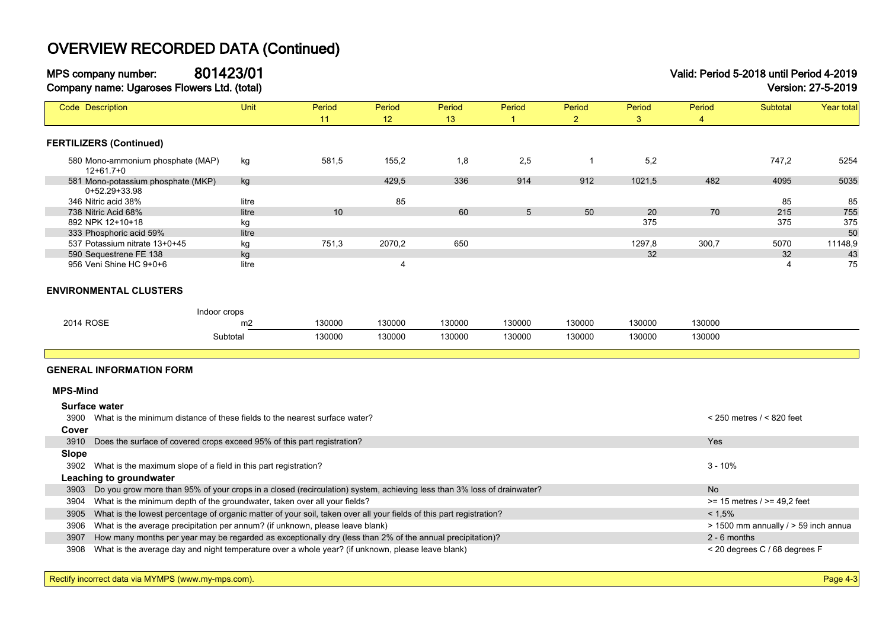#### MPS company number: Company name: Ugaroses Flowers Ltd. (total) 801423/01

#### Valid: Period 5-2018 until Period 4-2019 Version: 27-5-2019

| Code Description                                                                                        | Unit         | Period<br>11 | Period<br>12 <sup>°</sup> | Period<br>13 | Period | Period<br>$\overline{2}$ | Period<br>3 | Period<br>4 | Subtotal                      | Year total |
|---------------------------------------------------------------------------------------------------------|--------------|--------------|---------------------------|--------------|--------|--------------------------|-------------|-------------|-------------------------------|------------|
| <b>FERTILIZERS (Continued)</b>                                                                          |              |              |                           |              |        |                          |             |             |                               |            |
| 580 Mono-ammonium phosphate (MAP)<br>$12+61.7+0$                                                        | kg           | 581,5        | 155,2                     | 1,8          | 2,5    | 1                        | 5,2         |             | 747,2                         | 5254       |
| 581 Mono-potassium phosphate (MKP)                                                                      | kg           |              | 429,5                     | 336          | 914    | 912                      | 1021,5      | 482         | 4095                          | 5035       |
| 0+52.29+33.98                                                                                           |              |              |                           |              |        |                          |             |             |                               |            |
| 346 Nitric acid 38%                                                                                     | litre        |              | 85                        |              |        |                          |             |             | 85                            | 85         |
| 738 Nitric Acid 68%                                                                                     | litre        | 10           |                           | 60           | 5      | 50                       | 20          | 70          | 215                           | 755        |
| 892 NPK 12+10+18                                                                                        | kg           |              |                           |              |        |                          | 375         |             | 375                           | 375        |
| 333 Phosphoric acid 59%                                                                                 | litre        |              |                           |              |        |                          |             |             |                               | 50         |
| 537 Potassium nitrate 13+0+45                                                                           | kg           | 751,3        | 2070,2                    | 650          |        |                          | 1297,8      | 300,7       | 5070                          | 11148,9    |
| 590 Sequestrene FE 138                                                                                  | kg           |              |                           |              |        |                          | 32          |             | 32                            | 43         |
| 956 Veni Shine HC 9+0+6                                                                                 | litre        |              | 4                         |              |        |                          |             |             | 4                             | 75         |
| <b>ENVIRONMENTAL CLUSTERS</b>                                                                           |              |              |                           |              |        |                          |             |             |                               |            |
|                                                                                                         | Indoor crops |              |                           |              |        |                          |             |             |                               |            |
| 2014 ROSE                                                                                               | m2           | 130000       | 130000                    | 130000       | 130000 | 130000                   | 130000      | 130000      |                               |            |
|                                                                                                         | Subtotal     | 130000       | 130000                    | 130000       | 130000 | 130000                   | 130000      | 130000      |                               |            |
|                                                                                                         |              |              |                           |              |        |                          |             |             |                               |            |
| <b>GENERAL INFORMATION FORM</b>                                                                         |              |              |                           |              |        |                          |             |             |                               |            |
| <b>MPS-Mind</b>                                                                                         |              |              |                           |              |        |                          |             |             |                               |            |
| <b>Surface water</b><br>3900 What is the minimum distance of these fields to the nearest surface water? |              |              |                           |              |        |                          |             |             | $<$ 250 metres / $<$ 820 feet |            |

| 3900         | what is the minimum distance of these fields to the nearest surface water?                                             | $\le$ 250 metres / $\le$ 820 feet        |
|--------------|------------------------------------------------------------------------------------------------------------------------|------------------------------------------|
| Cover        |                                                                                                                        |                                          |
| 3910         | Does the surface of covered crops exceed 95% of this part registration?                                                | Yes                                      |
| <b>Slope</b> |                                                                                                                        |                                          |
| 3902         | What is the maximum slope of a field in this part registration?                                                        | $3 - 10%$                                |
|              | Leaching to groundwater                                                                                                |                                          |
| 3903         | Do you grow more than 95% of your crops in a closed (recirculation) system, achieving less than 3% loss of drainwater? | <b>No</b>                                |
| 3904         | What is the minimum depth of the groundwater, taken over all your fields?                                              | $>= 15$ metres / $>= 49.2$ feet          |
| 3905         | What is the lowest percentage of organic matter of your soil, taken over all your fields of this part registration?    | $< 1.5\%$                                |
| 3906         | What is the average precipitation per annum? (if unknown, please leave blank)                                          | $>$ 1500 mm annually $/$ > 59 inch annua |
| 3907         | How many months per year may be regarded as exceptionally dry (less than 2% of the annual precipitation)?              | $2 - 6$ months                           |
| 3908         | What is the average day and night temperature over a whole year? (if unknown, please leave blank)                      | < 20 degrees C / 68 degrees F            |
|              |                                                                                                                        |                                          |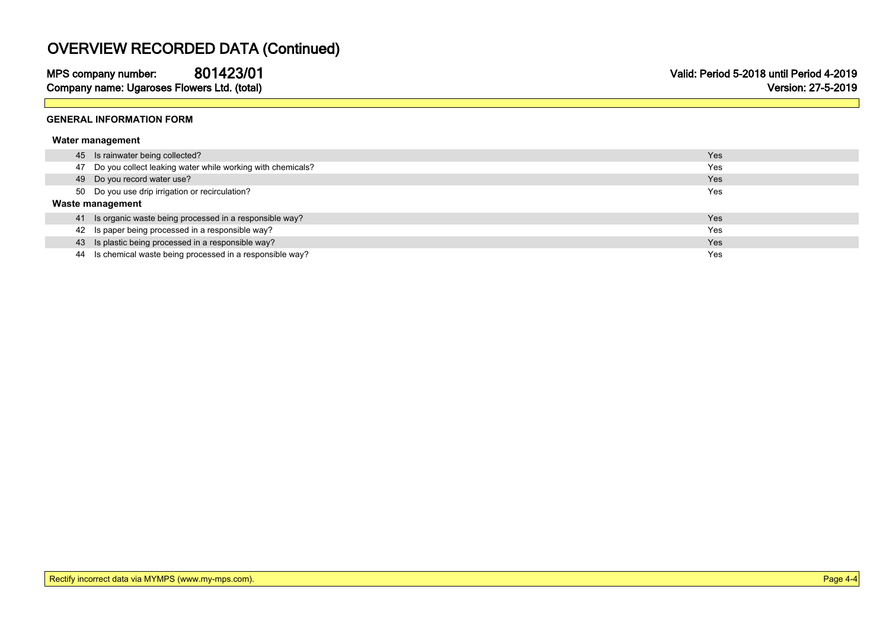MPS company number: Company name: Ugaroses Flowers Ltd. (total) 801423/01

#### **GENERAL INFORMATION FORM**

#### **Water management**

| 45 Is rainwater being collected?                              | Yes |
|---------------------------------------------------------------|-----|
| 47 Do you collect leaking water while working with chemicals? | Yes |
| 49 Do you record water use?                                   | Yes |
| 50 Do you use drip irrigation or recirculation?               | Yes |
| Waste management                                              |     |
| 41 Is organic waste being processed in a responsible way?     | Yes |
| 42 Is paper being processed in a responsible way?             | Yes |
| 43 Is plastic being processed in a responsible way?           | Yes |
| 44 Is chemical waste being processed in a responsible way?    | Yes |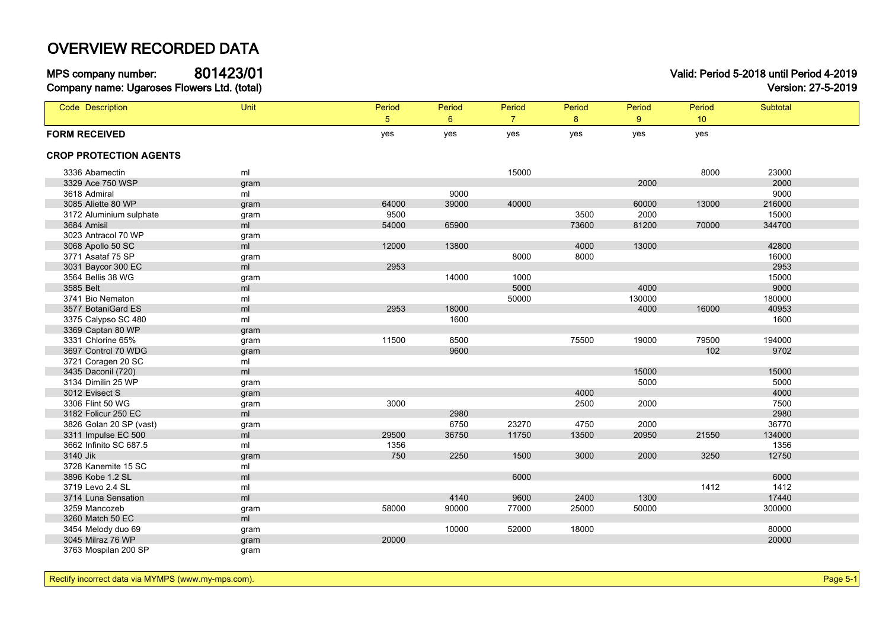# OVERVIEW RECORDED DATA

#### MPS company number: Company name: Ugaroses Flowers Ltd. (total) 801423/01

#### Valid: Period 5-2018 until Period 4-2019 Version: 27-5-2019

| Code Description              | Unit | Period | Period      | Period         | Period | Period | Period | Subtotal |  |
|-------------------------------|------|--------|-------------|----------------|--------|--------|--------|----------|--|
|                               |      | 5      | $6^{\circ}$ | $\overline{7}$ | 8      | 9      | 10     |          |  |
| <b>FORM RECEIVED</b>          |      | yes    | yes         | yes            | yes    | yes    | yes    |          |  |
| <b>CROP PROTECTION AGENTS</b> |      |        |             |                |        |        |        |          |  |
| 3336 Abamectin                | ml   |        |             | 15000          |        |        | 8000   | 23000    |  |
| 3329 Ace 750 WSP              | gram |        |             |                |        | 2000   |        | 2000     |  |
| 3618 Admiral                  | ml   |        | 9000        |                |        |        |        | 9000     |  |
| 3085 Aliette 80 WP            | gram | 64000  | 39000       | 40000          |        | 60000  | 13000  | 216000   |  |
| 3172 Aluminium sulphate       | gram | 9500   |             |                | 3500   | 2000   |        | 15000    |  |
| 3684 Amisil                   | ml   | 54000  | 65900       |                | 73600  | 81200  | 70000  | 344700   |  |
| 3023 Antracol 70 WP           | gram |        |             |                |        |        |        |          |  |
| 3068 Apollo 50 SC             | ml   | 12000  | 13800       |                | 4000   | 13000  |        | 42800    |  |
| 3771 Asataf 75 SP             | gram |        |             | 8000           | 8000   |        |        | 16000    |  |
| 3031 Baycor 300 EC            | ml   | 2953   |             |                |        |        |        | 2953     |  |
| 3564 Bellis 38 WG             | gram |        | 14000       | 1000           |        |        |        | 15000    |  |
| 3585 Belt                     | ml   |        |             | 5000           |        | 4000   |        | 9000     |  |
| 3741 Bio Nematon              | ml   |        |             | 50000          |        | 130000 |        | 180000   |  |
| 3577 BotaniGard ES            | ml   | 2953   | 18000       |                |        | 4000   | 16000  | 40953    |  |
| 3375 Calypso SC 480           | ml   |        | 1600        |                |        |        |        | 1600     |  |
| 3369 Captan 80 WP             | gram |        |             |                |        |        |        |          |  |
| 3331 Chlorine 65%             | gram | 11500  | 8500        |                | 75500  | 19000  | 79500  | 194000   |  |
| 3697 Control 70 WDG           | gram |        | 9600        |                |        |        | 102    | 9702     |  |
| 3721 Coragen 20 SC            | ml   |        |             |                |        |        |        |          |  |
| 3435 Daconil (720)            | ml   |        |             |                |        | 15000  |        | 15000    |  |
| 3134 Dimilin 25 WP            | gram |        |             |                |        | 5000   |        | 5000     |  |
| 3012 Evisect S                | gram |        |             |                | 4000   |        |        | 4000     |  |
| 3306 Flint 50 WG              | gram | 3000   |             |                | 2500   | 2000   |        | 7500     |  |
| 3182 Folicur 250 EC           | ml   |        | 2980        |                |        |        |        | 2980     |  |
| 3826 Golan 20 SP (vast)       | gram |        | 6750        | 23270          | 4750   | 2000   |        | 36770    |  |
| 3311 Impulse EC 500           | ml   | 29500  | 36750       | 11750          | 13500  | 20950  | 21550  | 134000   |  |
| 3662 Infinito SC 687.5        | ml   | 1356   |             |                |        |        |        | 1356     |  |
| 3140 Jik                      | gram | 750    | 2250        | 1500           | 3000   | 2000   | 3250   | 12750    |  |
| 3728 Kanemite 15 SC           | ml   |        |             |                |        |        |        |          |  |
| 3896 Kobe 1.2 SL              | ml   |        |             | 6000           |        |        |        | 6000     |  |
| 3719 Levo 2.4 SL              | ml   |        |             |                |        |        | 1412   | 1412     |  |
| 3714 Luna Sensation           | ml   |        | 4140        | 9600           | 2400   | 1300   |        | 17440    |  |
| 3259 Mancozeb                 | gram | 58000  | 90000       | 77000          | 25000  | 50000  |        | 300000   |  |
| 3260 Match 50 EC              | ml   |        |             |                |        |        |        |          |  |
| 3454 Melody duo 69            | gram |        | 10000       | 52000          | 18000  |        |        | 80000    |  |
| 3045 Milraz 76 WP             | gram | 20000  |             |                |        |        |        | 20000    |  |
| 3763 Mospilan 200 SP          | gram |        |             |                |        |        |        |          |  |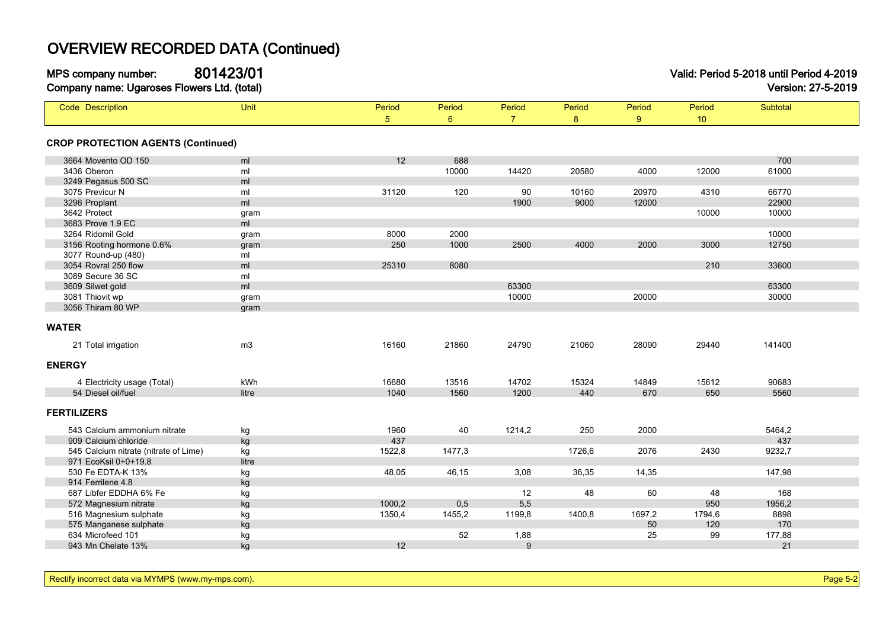#### MPS company number: Company name: Ugaroses Flowers Ltd. (total) 801423/01

#### Valid: Period 5-2018 until Period 4-2019 Version: 27-5-2019

| Code Description                          | Unit  | Period         | Period         | Period         | Period | Period | Period | Subtotal |  |
|-------------------------------------------|-------|----------------|----------------|----------------|--------|--------|--------|----------|--|
|                                           |       | $\overline{5}$ | $6\phantom{1}$ | $\overline{7}$ | 8      | 9      | 10     |          |  |
|                                           |       |                |                |                |        |        |        |          |  |
| <b>CROP PROTECTION AGENTS (Continued)</b> |       |                |                |                |        |        |        |          |  |
| 3664 Movento OD 150                       | ml    | 12             | 688            |                |        |        |        | 700      |  |
| 3436 Oberon                               | ml    |                | 10000          | 14420          | 20580  | 4000   | 12000  | 61000    |  |
| 3249 Pegasus 500 SC                       | ml    |                |                |                |        |        |        |          |  |
| 3075 Previcur N                           | ml    | 31120          | 120            | 90             | 10160  | 20970  | 4310   | 66770    |  |
| 3296 Proplant                             | ml    |                |                | 1900           | 9000   | 12000  |        | 22900    |  |
| 3642 Protect                              | gram  |                |                |                |        |        | 10000  | 10000    |  |
| 3683 Prove 1.9 EC                         | ml    |                |                |                |        |        |        |          |  |
| 3264 Ridomil Gold                         | gram  | 8000           | 2000           |                |        |        |        | 10000    |  |
| 3156 Rooting hormone 0.6%                 | gram  | 250            | 1000           | 2500           | 4000   | 2000   | 3000   | 12750    |  |
| 3077 Round-up (480)                       | ml    |                |                |                |        |        |        |          |  |
| 3054 Rovral 250 flow                      | ml    | 25310          | 8080           |                |        |        | 210    | 33600    |  |
| 3089 Secure 36 SC                         | ml    |                |                |                |        |        |        |          |  |
| 3609 Silwet gold                          | ml    |                |                | 63300          |        |        |        | 63300    |  |
| 3081 Thiovit wp                           | gram  |                |                | 10000          |        | 20000  |        | 30000    |  |
| 3056 Thiram 80 WP                         | gram  |                |                |                |        |        |        |          |  |
|                                           |       |                |                |                |        |        |        |          |  |
| <b>WATER</b>                              |       |                |                |                |        |        |        |          |  |
|                                           |       |                |                |                |        |        |        |          |  |
| 21 Total irrigation                       | m3    | 16160          | 21860          | 24790          | 21060  | 28090  | 29440  | 141400   |  |
| <b>ENERGY</b>                             |       |                |                |                |        |        |        |          |  |
|                                           |       |                |                |                |        |        |        |          |  |
| 4 Electricity usage (Total)               | kWh   | 16680          | 13516          | 14702          | 15324  | 14849  | 15612  | 90683    |  |
| 54 Diesel oil/fuel                        | litre | 1040           | 1560           | 1200           | 440    | 670    | 650    | 5560     |  |
|                                           |       |                |                |                |        |        |        |          |  |
| <b>FERTILIZERS</b>                        |       |                |                |                |        |        |        |          |  |
|                                           |       |                |                |                |        |        |        |          |  |
| 543 Calcium ammonium nitrate              | kg    | 1960           | 40             | 1214,2         | 250    | 2000   |        | 5464,2   |  |
| 909 Calcium chloride                      | kg    | 437            |                |                |        |        |        | 437      |  |
| 545 Calcium nitrate (nitrate of Lime)     | kg    | 1522,8         | 1477,3         |                | 1726,6 | 2076   | 2430   | 9232,7   |  |
| 971 EcoKsil 0+0+19.8                      | litre |                |                |                |        |        |        |          |  |
| 530 Fe EDTA-K 13%                         | kg    | 48,05          | 46,15          | 3,08           | 36,35  | 14,35  |        | 147,98   |  |
| 914 Ferrilene 4.8                         | kg    |                |                |                |        |        |        |          |  |
| 687 Libfer EDDHA 6% Fe                    | kg    |                |                | 12             | 48     | 60     | 48     | 168      |  |
| 572 Magnesium nitrate                     | kg    | 1000,2         | 0,5            | 5,5            |        |        | 950    | 1956,2   |  |
| 516 Magnesium sulphate                    | kg    | 1350,4         | 1455,2         | 1199,8         | 1400,8 | 1697,2 | 1794,6 | 8898     |  |
| 575 Manganese sulphate                    | kg    |                |                |                |        | 50     | 120    | 170      |  |
| 634 Microfeed 101                         | kg    |                | 52             | 1,88           |        | 25     | 99     | 177,88   |  |
| 943 Mn Chelate 13%                        | kg    | 12             |                | 9              |        |        |        | 21       |  |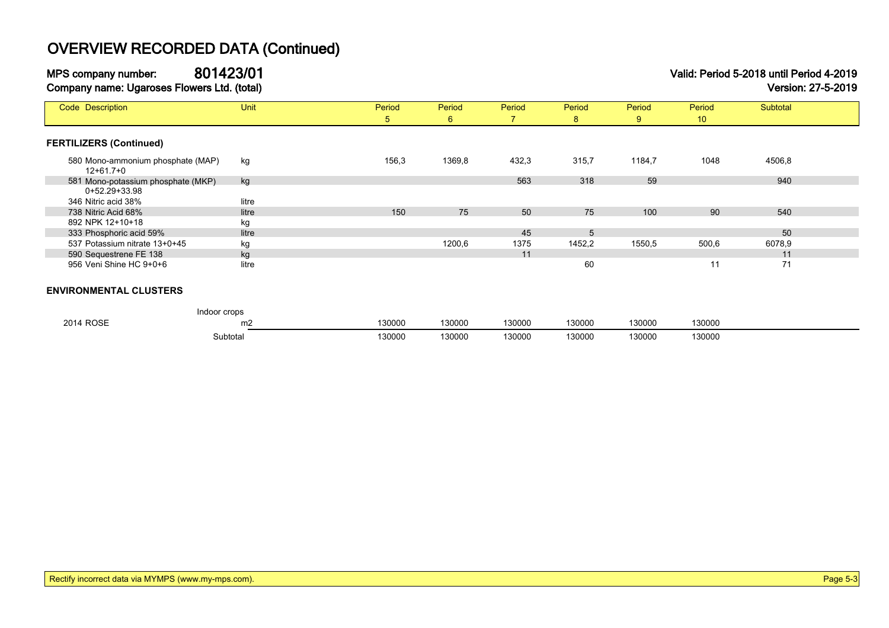#### MPS company number: 801423/01

#### Valid: Period 5-2018 until Period 4-2019 Version: 27-5-2019

Company name: Ugaroses Flowers Ltd. (total)

| Code Description                                    | <b>Unit</b>  | Period<br>5 | Period<br>6 | Period<br>7 | Period<br>8 | Period<br>9 | Period<br>10 <sup>°</sup> | Subtotal |  |
|-----------------------------------------------------|--------------|-------------|-------------|-------------|-------------|-------------|---------------------------|----------|--|
| <b>FERTILIZERS (Continued)</b>                      |              |             |             |             |             |             |                           |          |  |
| 580 Mono-ammonium phosphate (MAP)<br>$12+61.7+0$    | kg           | 156,3       | 1369,8      | 432,3       | 315,7       | 1184,7      | 1048                      | 4506,8   |  |
| 581 Mono-potassium phosphate (MKP)<br>0+52.29+33.98 | kg           |             |             | 563         | 318         | 59          |                           | 940      |  |
| 346 Nitric acid 38%                                 | litre        |             |             |             |             |             |                           |          |  |
| 738 Nitric Acid 68%                                 | litre        | 150         | 75          | 50          | 75          | 100         | 90                        | 540      |  |
| 892 NPK 12+10+18                                    | kg           |             |             |             |             |             |                           |          |  |
| 333 Phosphoric acid 59%                             | litre        |             |             | 45          | 5           |             |                           | 50       |  |
| 537 Potassium nitrate 13+0+45                       | kg           |             | 1200,6      | 1375        | 1452,2      | 1550,5      | 500,6                     | 6078,9   |  |
| 590 Sequestrene FE 138                              | kg           |             |             | 11          |             |             |                           | 11       |  |
| 956 Veni Shine HC 9+0+6                             | litre        |             |             |             | 60          |             | 11                        | 71       |  |
| <b>ENVIRONMENTAL CLUSTERS</b>                       |              |             |             |             |             |             |                           |          |  |
|                                                     | Indoor crops |             |             |             |             |             |                           |          |  |
| 2014 ROSE                                           | m2           | 130000      | 130000      | 130000      | 130000      | 130000      | 130000                    |          |  |
|                                                     | Subtotal     | 130000      | 130000      | 130000      | 130000      | 130000      | 130000                    |          |  |